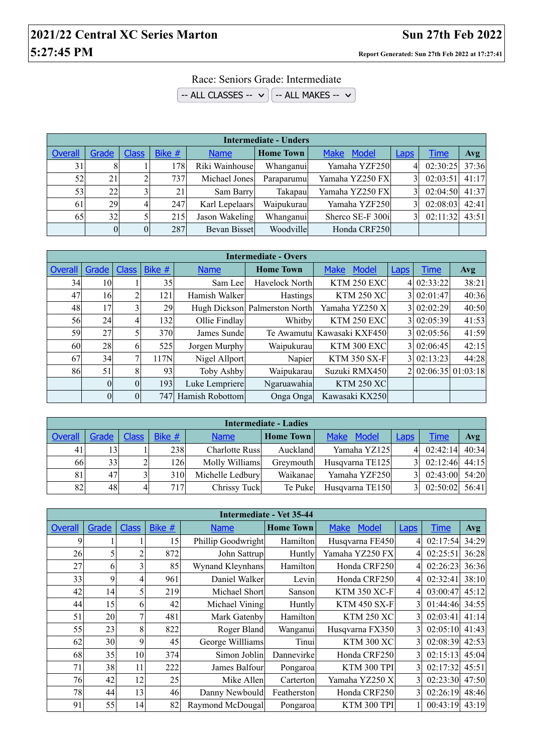## **2021/22 Central XC Series Marton Sun 27th Feb 2022 5:27:45 PM Report Generated: Sun 27th Feb 2022 at 17:27:41**

Race: Seniors Grade: Intermediate

 $\overline{-}$  ALL CLASSES --  $\vee$   $\overline{-}$  ALL MAKES --  $\vee$ 

| <b>Intermediate - Unders</b> |       |              |        |                |                  |                  |             |          |       |  |
|------------------------------|-------|--------------|--------|----------------|------------------|------------------|-------------|----------|-------|--|
| <b>Overall</b>               | Grade | <b>Class</b> | Bike # | <b>Name</b>    | <b>Home Town</b> | Make Model       | <b>Laps</b> | Time     | Avg   |  |
| 31                           |       |              | 178    | Riki Wainhouse | Whanganui        | Yamaha YZF250    | 4           | 02:30:25 | 37:36 |  |
| 52                           | 21    |              | 737    | Michael Jones  | Paraparumu       | Yamaha YZ250 FX  |             | 02:03:51 | 41:17 |  |
| 53                           | 22    |              | 21     | Sam Barry      | Takapau          | Yamaha YZ250 FX  |             | 02:04:50 | 41:37 |  |
| 61                           | 29    |              | 247    | Karl Lepelaars | Waipukurau       | Yamaha YZF250    |             | 02:08:03 | 42:41 |  |
| 65                           | 32    |              | 215    | Jason Wakeling | Whanganui        | Sherco SE-F 300i |             | 02:11:32 | 43:51 |  |
|                              |       | $\Omega$     | 287    | Bevan Bisset   | Woodville        | Honda CRF250     |             |          |       |  |

| <b>Intermediate - Overs</b> |          |              |        |                 |                               |                             |                          |             |                     |  |  |
|-----------------------------|----------|--------------|--------|-----------------|-------------------------------|-----------------------------|--------------------------|-------------|---------------------|--|--|
| Overall                     | Grade    | <b>Class</b> | Bike # | <b>Name</b>     | <b>Home Town</b>              | <b>Make</b><br>Model        | Laps                     | <b>Time</b> | Avg                 |  |  |
| 34                          | 10       |              | 35     | Sam Lee         | Havelock North                | <b>KTM 250 EXC</b>          | 4                        | 02:33:22    | 38:21               |  |  |
| 47                          | 16       | 2            | 121    | Hamish Walker   | <b>Hastings</b>               | <b>KTM 250 XC</b>           | 3                        | 02:01:47    | 40:36               |  |  |
| 48                          | 17       |              | 29     |                 | Hugh Dickson Palmerston North | Yamaha YZ250 X              | 3                        | 02:02:29    | 40:50               |  |  |
| 56                          | 24       | 4            | 1321   | Ollie Findlay   | Whitby                        | <b>KTM 250 EXC</b>          | 3                        | 02:05:39    | 41:53               |  |  |
| 59                          | 27       |              | 370    | James Sunde     |                               | Te Awamutul Kawasaki KXF450 | 3                        | 02:05:56    | 41:59               |  |  |
| 60                          | 28       | <sub>(</sub> | 525    | Jorgen Murphy   | Waipukurau                    | KTM 300 EXC                 | $\overline{\mathcal{E}}$ | 02:06:45    | 42:15               |  |  |
| 67                          | 34       |              | 117N   | Nigel Allport   | Napier                        | <b>KTM 350 SX-F</b>         | 3                        | 02:13:23    | 44:28               |  |  |
| 86                          | 51       | 8            | 93     | Toby Ashby      | Waipukarau                    | Suzuki RMX450               |                          |             | $02:06:35$ 01:03:18 |  |  |
|                             | $\theta$ | $\Omega$     | 193    | Luke Lempriere  | Ngaruawahia                   | <b>KTM 250 XC</b>           |                          |             |                     |  |  |
|                             | $\theta$ | $\Omega$     | 747    | Hamish Robottom | Onga Onga                     | Kawasaki KX250              |                          |             |                     |  |  |

| <b>Intermediate - Ladies</b> |       |              |        |                  |                  |                 |      |                  |       |  |  |
|------------------------------|-------|--------------|--------|------------------|------------------|-----------------|------|------------------|-------|--|--|
| Overall                      | Grade | <b>Class</b> | Bike # | <b>Name</b>      | <b>Home Town</b> | Make Model      | Laps | <u>Time</u>      | Avg   |  |  |
| 41                           | 13    |              | 238    | Charlotte Russ   | Auckland         | Yamaha YZ125    | 41   | $02:42:14$ 40:34 |       |  |  |
| 66                           | 33    |              | 1261   | Molly Williams   | Greymouth        | Husqvarna TE125 |      | 02:12:46         | 44:15 |  |  |
| 81                           | 47    |              | 310    | Michelle Ledbury | Waikanae         | Yamaha YZF250   |      | $02:43:00$ 54:20 |       |  |  |
| 82                           | 48    | 4            | 717    | Chrissy Tuck     | Te Puke          | Husqvarna TE150 |      | 02:50:02         | 56:41 |  |  |

|                | Intermediate - Vet 35-44 |                |        |                    |                  |                             |                          |             |            |  |  |
|----------------|--------------------------|----------------|--------|--------------------|------------------|-----------------------------|--------------------------|-------------|------------|--|--|
| <b>Overall</b> | Grade                    | <b>Class</b>   | Bike # | <b>Name</b>        | <b>Home Town</b> | <b>Model</b><br><b>Make</b> | <b>Laps</b>              | <b>Time</b> | <b>Avg</b> |  |  |
| 9              |                          |                | 15     | Phillip Goodwright | Hamilton         | Husqvarna FE450             | $\frac{4}{ }$            | 02:17:54    | 34:29      |  |  |
| 26             |                          | 2              | 872    | John Sattrup       | Huntly           | Yamaha YZ250 FX             | 41                       | 02:25:51    | 36:28      |  |  |
| 27             | 6                        | 3              | 85     | Wynand Kleynhans   | Hamilton         | Honda CRF250                | 41                       | 02:26:23    | 36:36      |  |  |
| 33             | 9                        | $\overline{4}$ | 961    | Daniel Walker      | Levin            | Honda CRF250                | 41                       | 02:32:41    | 38:10      |  |  |
| 42             | 14                       | 5              | 219    | Michael Short      | Sanson           | <b>KTM 350 XC-F</b>         | 41                       | 03:00:47    | 45:12      |  |  |
| 44             | 15                       | 6              | 42     | Michael Vining     | Huntly           | <b>KTM 450 SX-F</b>         | $\overline{3}$           | 01:44:46    | 34:55      |  |  |
| 51             | 20                       | 7              | 481    | Mark Gatenby       | Hamilton         | <b>KTM 250 XC</b>           | $\overline{\mathcal{E}}$ | 02:03:41    | 41:14      |  |  |
| 55             | 23                       | 8              | 822    | Roger Bland        | Wanganui         | Husqvarna FX350             | $\overline{3}$           | 02:05:10    | 41:43      |  |  |
| 62             | 30                       | 9              | 45     | George Willliams   | Tinui            | <b>KTM 300 XC</b>           | 3 <sub>1</sub>           | 02:08:39    | 42:53      |  |  |
| 68             | 35                       | 10             | 374    | Simon Joblin       | Dannevirke       | Honda CRF250                | $\overline{3}$           | 02:15:13    | 45:04      |  |  |
| 71             | 38                       | 11             | 222    | James Balfour      | Pongaroa         | <b>KTM 300 TPI</b>          | 31                       | 02:17:32    | 45:51      |  |  |
| 76             | 42                       | 12             | 25     | Mike Allen         | Carterton        | Yamaha YZ250 X              | $\overline{3}$           | 02:23:30    | 47:50      |  |  |
| 78             | 44                       | 13             | 46     | Danny Newbould     | Featherston      | Honda CRF250                | $\overline{3}$           | 02:26:19    | 48:46      |  |  |
| 91             | 55                       | 14             | 82     | Raymond McDougal   | Pongaroa         | KTM 300 TPI                 |                          | 00:43:19    | 43:19      |  |  |